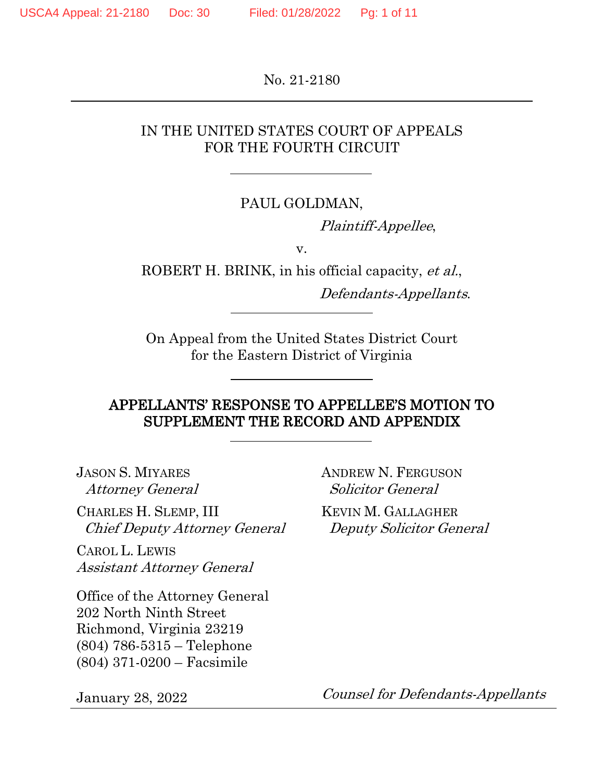No. 21-2180

# IN THE UNITED STATES COURT OF APPEALS FOR THE FOURTH CIRCUIT

## PAUL GOLDMAN,

Plaintiff-Appellee,

v.

ROBERT H. BRINK, in his official capacity, et al.,

Defendants-Appellants.

On Appeal from the United States District Court for the Eastern District of Virginia

# APPELLANTS' RESPONSE TO APPELLEE'S MOTION TO SUPPLEMENT THE RECORD AND APPENDIX

JASON S. MIYARES Attorney General

CHARLES H. SLEMP, III Chief Deputy Attorney General

CAROL L. LEWIS Assistant Attorney General

Office of the Attorney General 202 North Ninth Street Richmond, Virginia 23219 (804) 786-5315 – Telephone (804) 371-0200 – Facsimile

January 28, 2022

ANDREW N. FERGUSON Solicitor General

KEVIN M. GALLAGHER Deputy Solicitor General

Counsel for Defendants-Appellants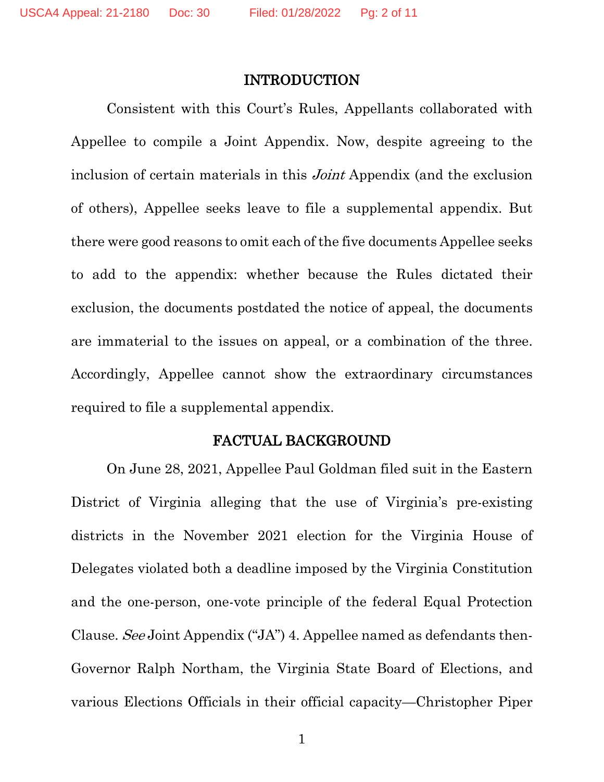## INTRODUCTION

Consistent with this Court's Rules, Appellants collaborated with Appellee to compile a Joint Appendix. Now, despite agreeing to the inclusion of certain materials in this Joint Appendix (and the exclusion of others), Appellee seeks leave to file a supplemental appendix. But there were good reasons to omit each of the five documents Appellee seeks to add to the appendix: whether because the Rules dictated their exclusion, the documents postdated the notice of appeal, the documents are immaterial to the issues on appeal, or a combination of the three. Accordingly, Appellee cannot show the extraordinary circumstances required to file a supplemental appendix.

## FACTUAL BACKGROUND

On June 28, 2021, Appellee Paul Goldman filed suit in the Eastern District of Virginia alleging that the use of Virginia's pre-existing districts in the November 2021 election for the Virginia House of Delegates violated both a deadline imposed by the Virginia Constitution and the one-person, one-vote principle of the federal Equal Protection Clause. See Joint Appendix ("JA") 4. Appellee named as defendants then-Governor Ralph Northam, the Virginia State Board of Elections, and various Elections Officials in their official capacity—Christopher Piper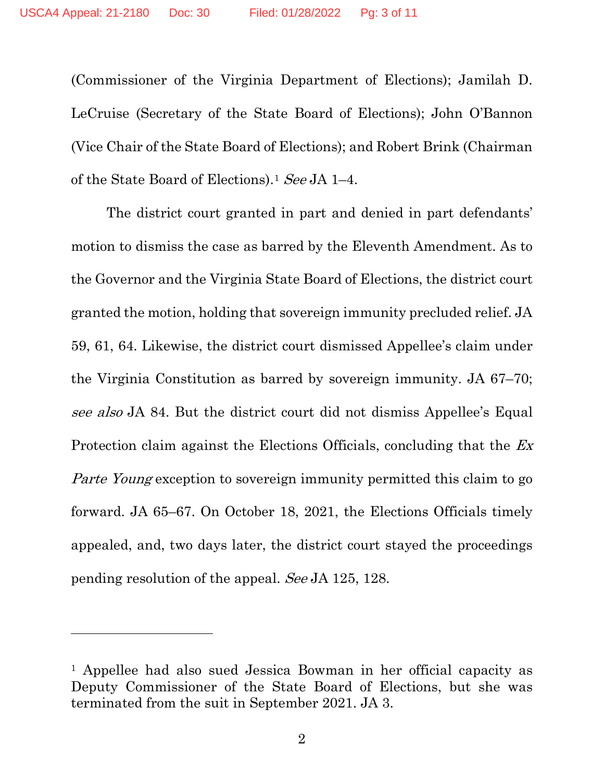(Commissioner of the Virginia Department of Elections); Jamilah D. LeCruise (Secretary of the State Board of Elections); John O'Bannon (Vice Chair of the State Board of Elections); and Robert Brink (Chairman of the State Board of Elections).1 See JA 1–4.

The district court granted in part and denied in part defendants' motion to dismiss the case as barred by the Eleventh Amendment. As to the Governor and the Virginia State Board of Elections, the district court granted the motion, holding that sovereign immunity precluded relief. JA 59, 61, 64. Likewise, the district court dismissed Appellee's claim under the Virginia Constitution as barred by sovereign immunity. JA 67–70; see also JA 84. But the district court did not dismiss Appellee's Equal Protection claim against the Elections Officials, concluding that the Ex Parte Young exception to sovereign immunity permitted this claim to go forward. JA 65–67. On October 18, 2021, the Elections Officials timely appealed, and, two days later, the district court stayed the proceedings pending resolution of the appeal. See JA 125, 128.

<sup>1</sup> Appellee had also sued Jessica Bowman in her official capacity as Deputy Commissioner of the State Board of Elections, but she was terminated from the suit in September 2021. JA 3.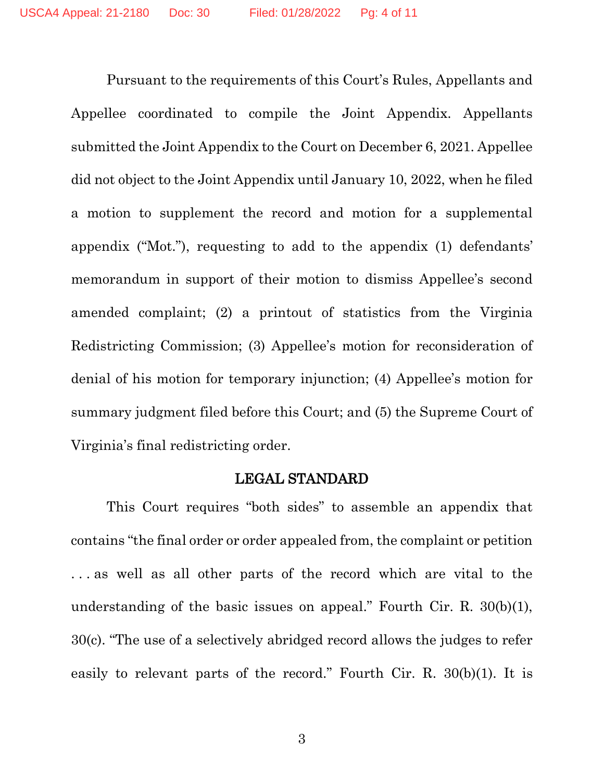Pursuant to the requirements of this Court's Rules, Appellants and Appellee coordinated to compile the Joint Appendix. Appellants submitted the Joint Appendix to the Court on December 6, 2021. Appellee did not object to the Joint Appendix until January 10, 2022, when he filed a motion to supplement the record and motion for a supplemental appendix ("Mot."), requesting to add to the appendix (1) defendants' memorandum in support of their motion to dismiss Appellee's second amended complaint; (2) a printout of statistics from the Virginia Redistricting Commission; (3) Appellee's motion for reconsideration of denial of his motion for temporary injunction; (4) Appellee's motion for summary judgment filed before this Court; and (5) the Supreme Court of Virginia's final redistricting order.

#### LEGAL STANDARD

This Court requires "both sides" to assemble an appendix that contains "the final order or order appealed from, the complaint or petition . . . as well as all other parts of the record which are vital to the understanding of the basic issues on appeal." Fourth Cir. R. 30(b)(1), 30(c). "The use of a selectively abridged record allows the judges to refer easily to relevant parts of the record." Fourth Cir. R. 30(b)(1). It is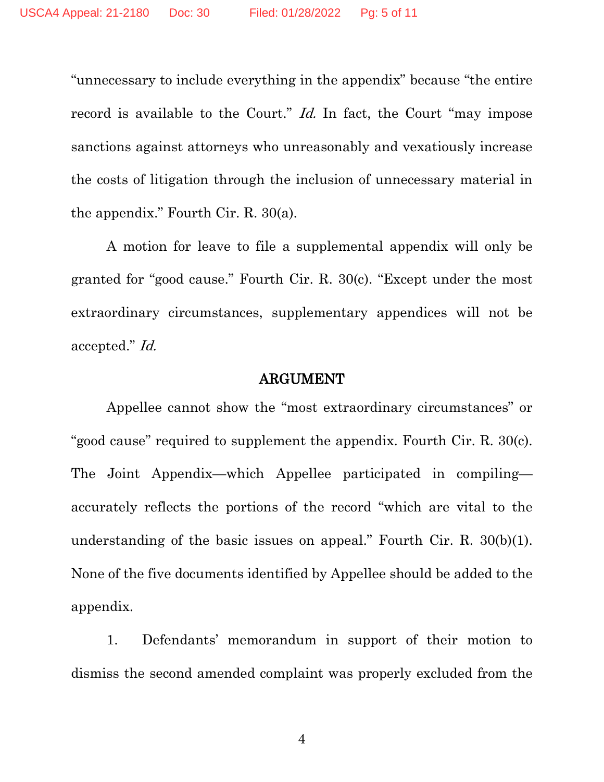"unnecessary to include everything in the appendix" because "the entire record is available to the Court." Id. In fact, the Court "may impose sanctions against attorneys who unreasonably and vexatiously increase the costs of litigation through the inclusion of unnecessary material in the appendix." Fourth Cir. R. 30(a).

A motion for leave to file a supplemental appendix will only be granted for "good cause." Fourth Cir. R. 30(c). "Except under the most extraordinary circumstances, supplementary appendices will not be accepted." Id.

## ARGUMENT

Appellee cannot show the "most extraordinary circumstances" or "good cause" required to supplement the appendix. Fourth Cir. R. 30(c). The Joint Appendix—which Appellee participated in compiling accurately reflects the portions of the record "which are vital to the understanding of the basic issues on appeal." Fourth Cir. R. 30(b)(1). None of the five documents identified by Appellee should be added to the appendix.

1. Defendants' memorandum in support of their motion to dismiss the second amended complaint was properly excluded from the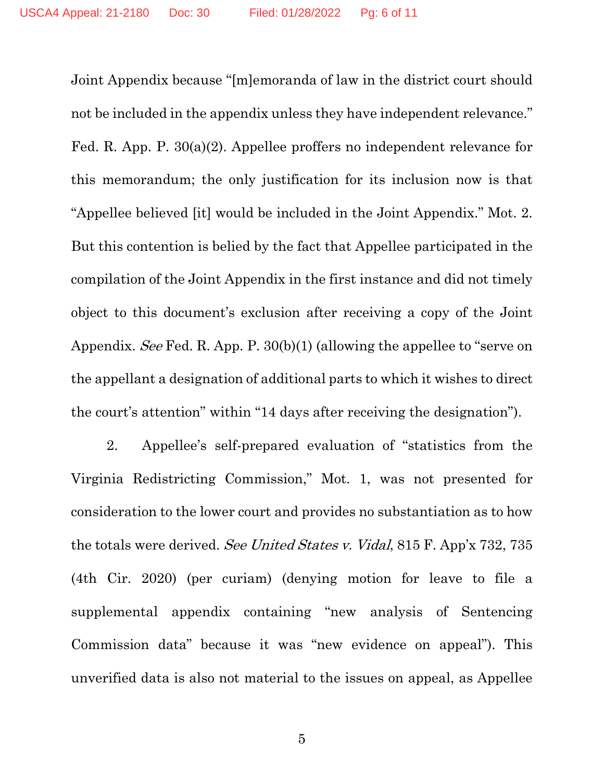Joint Appendix because "[m]emoranda of law in the district court should not be included in the appendix unless they have independent relevance." Fed. R. App. P. 30(a)(2). Appellee proffers no independent relevance for this memorandum; the only justification for its inclusion now is that "Appellee believed [it] would be included in the Joint Appendix." Mot. 2. But this contention is belied by the fact that Appellee participated in the compilation of the Joint Appendix in the first instance and did not timely object to this document's exclusion after receiving a copy of the Joint Appendix. See Fed. R. App. P. 30(b)(1) (allowing the appellee to "serve on the appellant a designation of additional parts to which it wishes to direct the court's attention" within "14 days after receiving the designation").

2. Appellee's self-prepared evaluation of "statistics from the Virginia Redistricting Commission," Mot. 1, was not presented for consideration to the lower court and provides no substantiation as to how the totals were derived. See United States v. Vidal, 815 F. App'x 732, 735 (4th Cir. 2020) (per curiam) (denying motion for leave to file a supplemental appendix containing "new analysis of Sentencing Commission data" because it was "new evidence on appeal"). This unverified data is also not material to the issues on appeal, as Appellee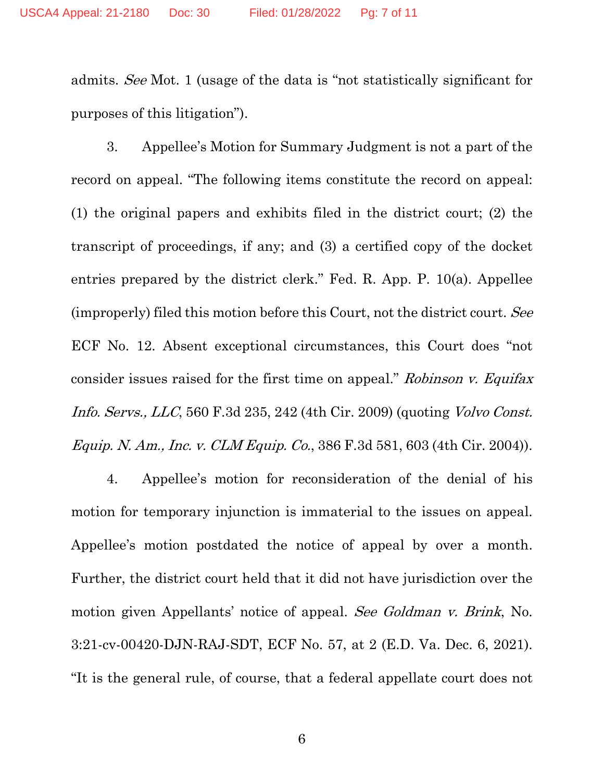admits. See Mot. 1 (usage of the data is "not statistically significant for purposes of this litigation").

3. Appellee's Motion for Summary Judgment is not a part of the record on appeal. "The following items constitute the record on appeal: (1) the original papers and exhibits filed in the district court; (2) the transcript of proceedings, if any; and (3) a certified copy of the docket entries prepared by the district clerk." Fed. R. App. P. 10(a). Appellee (improperly) filed this motion before this Court, not the district court. See ECF No. 12. Absent exceptional circumstances, this Court does "not consider issues raised for the first time on appeal." Robinson v. Equitax Info. Servs., LLC, 560 F.3d 235, 242 (4th Cir. 2009) (quoting Volvo Const. Equip. N. Am., Inc. v. CLM Equip. Co., 386 F.3d 581, 603 (4th Cir. 2004)).

4. Appellee's motion for reconsideration of the denial of his motion for temporary injunction is immaterial to the issues on appeal. Appellee's motion postdated the notice of appeal by over a month. Further, the district court held that it did not have jurisdiction over the motion given Appellants' notice of appeal. See Goldman v. Brink, No. 3:21-cv-00420-DJN-RAJ-SDT, ECF No. 57, at 2 (E.D. Va. Dec. 6, 2021). "It is the general rule, of course, that a federal appellate court does not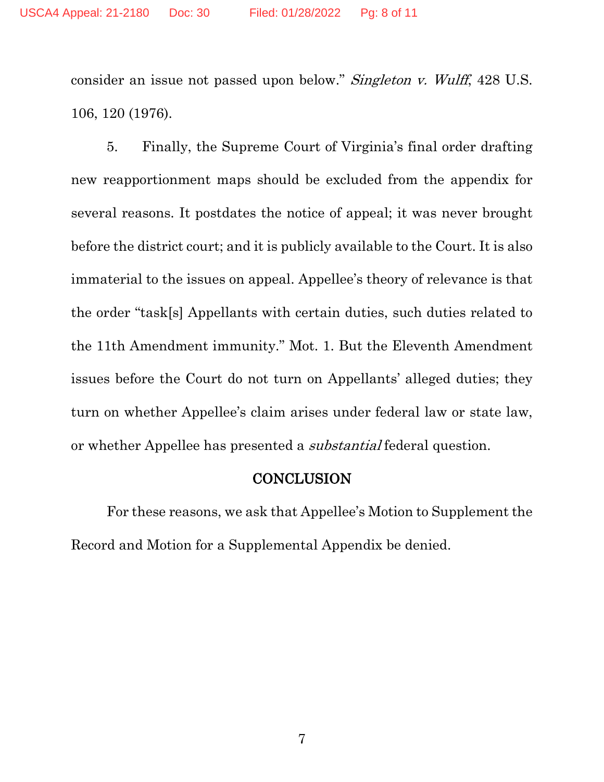consider an issue not passed upon below." Singleton v. Wulff, 428 U.S. 106, 120 (1976).

5. Finally, the Supreme Court of Virginia's final order drafting new reapportionment maps should be excluded from the appendix for several reasons. It postdates the notice of appeal; it was never brought before the district court; and it is publicly available to the Court. It is also immaterial to the issues on appeal. Appellee's theory of relevance is that the order "task[s] Appellants with certain duties, such duties related to the 11th Amendment immunity." Mot. 1. But the Eleventh Amendment issues before the Court do not turn on Appellants' alleged duties; they turn on whether Appellee's claim arises under federal law or state law, or whether Appellee has presented a substantial federal question.

#### **CONCLUSION**

For these reasons, we ask that Appellee's Motion to Supplement the Record and Motion for a Supplemental Appendix be denied.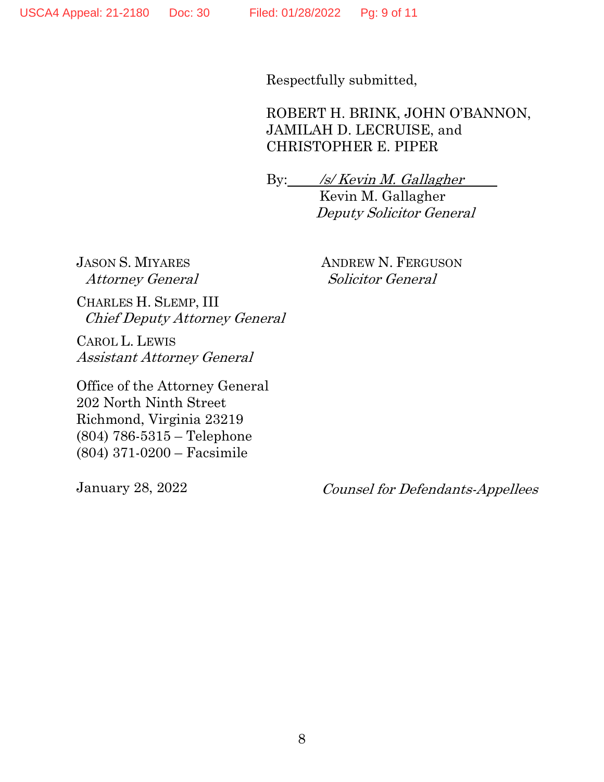Respectfully submitted,

ROBERT H. BRINK, JOHN O'BANNON, JAMILAH D. LECRUISE, and CHRISTOPHER E. PIPER

By: /s/ Kevin M. Gallagher Kevin M. Gallagher Deputy Solicitor General

JASON S. MIYARES Attorney General ANDREW N. FERGUSON Solicitor General

CHARLES H. SLEMP, III Chief Deputy Attorney General

CAROL L. LEWIS Assistant Attorney General

Office of the Attorney General 202 North Ninth Street Richmond, Virginia 23219 (804) 786-5315 – Telephone (804) 371-0200 – Facsimile

January 28, 2022

Counsel for Defendants-Appellees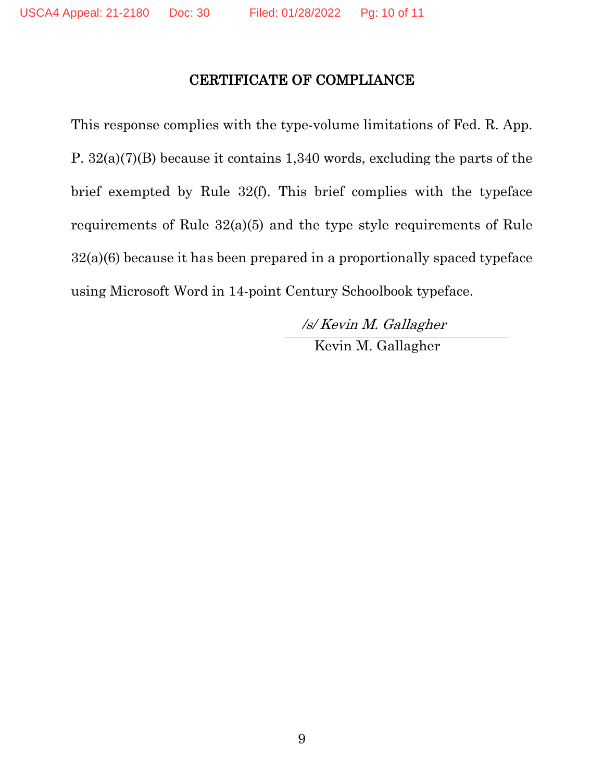# CERTIFICATE OF COMPLIANCE

This response complies with the type-volume limitations of Fed. R. App. P. 32(a)(7)(B) because it contains 1,340 words, excluding the parts of the brief exempted by Rule 32(f). This brief complies with the typeface requirements of Rule 32(a)(5) and the type style requirements of Rule 32(a)(6) because it has been prepared in a proportionally spaced typeface using Microsoft Word in 14-point Century Schoolbook typeface.

> /s/ Kevin M. Gallagher Kevin M. Gallagher